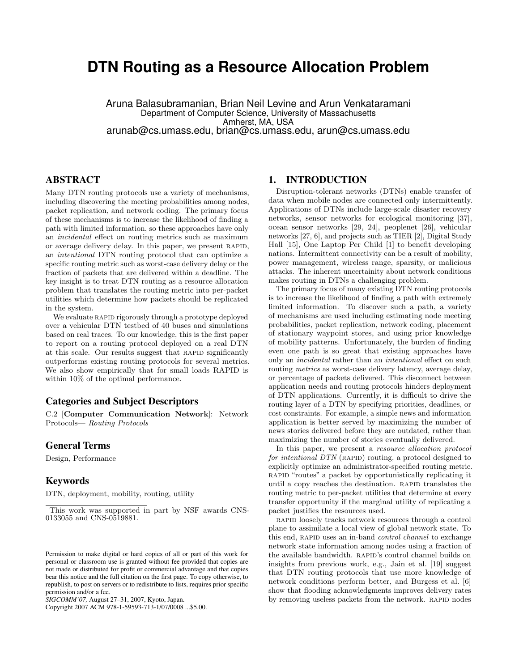# **DTN Routing as a Resource Allocation Problem**

Aruna Balasubramanian, Brian Neil Levine and Arun Venkataramani Department of Computer Science, University of Massachusetts Amherst, MA, USA arunab@cs.umass.edu, brian@cs.umass.edu, arun@cs.umass.edu

# ABSTRACT

Many DTN routing protocols use a variety of mechanisms, including discovering the meeting probabilities among nodes, packet replication, and network coding. The primary focus of these mechanisms is to increase the likelihood of finding a path with limited information, so these approaches have only an incidental effect on routing metrics such as maximum or average delivery delay. In this paper, we present RAPID, an intentional DTN routing protocol that can optimize a specific routing metric such as worst-case delivery delay or the fraction of packets that are delivered within a deadline. The key insight is to treat DTN routing as a resource allocation problem that translates the routing metric into per-packet utilities which determine how packets should be replicated in the system.

We evaluate RAPID rigorously through a prototype deployed over a vehicular DTN testbed of 40 buses and simulations based on real traces. To our knowledge, this is the first paper to report on a routing protocol deployed on a real DTN at this scale. Our results suggest that RAPID significantly outperforms existing routing protocols for several metrics. We also show empirically that for small loads RAPID is within 10% of the optimal performance.

# Categories and Subject Descriptors

C.2 [Computer Communication Network]: Network Protocols— Routing Protocols

#### General Terms

Design, Performance

# Keywords

DTN, deployment, mobility, routing, utility

Copyright 2007 ACM 978-1-59593-713-1/07/0008 ...\$5.00.

# 1. INTRODUCTION

Disruption-tolerant networks (DTNs) enable transfer of data when mobile nodes are connected only intermittently. Applications of DTNs include large-scale disaster recovery networks, sensor networks for ecological monitoring [37], ocean sensor networks [29, 24], peoplenet [26], vehicular networks [27, 6], and projects such as TIER [2], Digital Study Hall [15], One Laptop Per Child [1] to benefit developing nations. Intermittent connectivity can be a result of mobility, power management, wireless range, sparsity, or malicious attacks. The inherent uncertainity about network conditions makes routing in DTNs a challenging problem.

The primary focus of many existing DTN routing protocols is to increase the likelihood of finding a path with extremely limited information. To discover such a path, a variety of mechanisms are used including estimating node meeting probabilities, packet replication, network coding, placement of stationary waypoint stores, and using prior knowledge of mobility patterns. Unfortunately, the burden of finding even one path is so great that existing approaches have only an incidental rather than an intentional effect on such routing metrics as worst-case delivery latency, average delay, or percentage of packets delivered. This disconnect between application needs and routing protocols hinders deployment of DTN applications. Currently, it is difficult to drive the routing layer of a DTN by specifying priorities, deadlines, or cost constraints. For example, a simple news and information application is better served by maximizing the number of news stories delivered before they are outdated, rather than maximizing the number of stories eventually delivered.

In this paper, we present a *resource allocation protocol* for intentional DTN (RAPID) routing, a protocol designed to explicitly optimize an administrator-specified routing metric. rapid "routes" a packet by opportunistically replicating it until a copy reaches the destination. RAPID translates the routing metric to per-packet utilities that determine at every transfer opportunity if the marginal utility of replicating a packet justifies the resources used.

rapid loosely tracks network resources through a control plane to assimilate a local view of global network state. To this end, RAPID uses an in-band *control channel* to exchange network state information among nodes using a fraction of the available bandwidth. RAPID's control channel builds on insights from previous work, e.g., Jain et al. [19] suggest that DTN routing protocols that use more knowledge of network conditions perform better, and Burgess et al. [6] show that flooding acknowledgments improves delivery rates by removing useless packets from the network. RAPID nodes

This work was supported in part by NSF awards CNS-0133055 and CNS-0519881.

Permission to make digital or hard copies of all or part of this work for personal or classroom use is granted without fee provided that copies are not made or distributed for profit or commercial advantage and that copies bear this notice and the full citation on the first page. To copy otherwise, to republish, to post on servers or to redistribute to lists, requires prior specific permission and/or a fee.

*SIGCOMM'07,* August 27–31, 2007, Kyoto, Japan.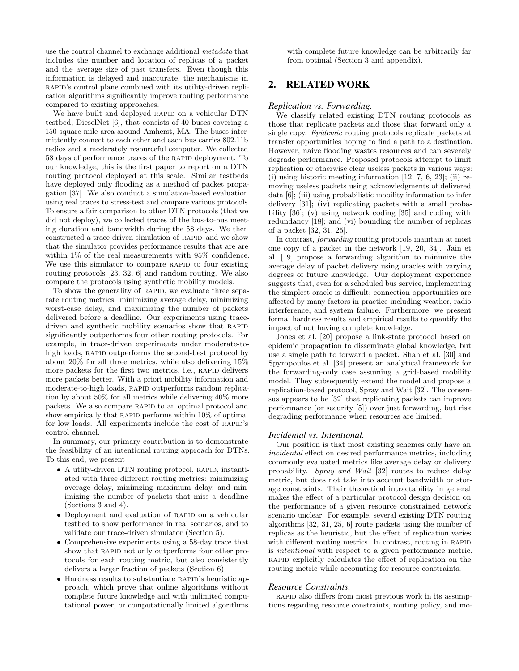use the control channel to exchange additional metadata that includes the number and location of replicas of a packet and the average size of past transfers. Even though this information is delayed and inaccurate, the mechanisms in RAPID's control plane combined with its utility-driven replication algorithms significantly improve routing performance compared to existing approaches.

We have built and deployed RAPID on a vehicular DTN testbed, DieselNet [6], that consists of 40 buses covering a 150 square-mile area around Amherst, MA. The buses intermittently connect to each other and each bus carries 802.11b radios and a moderately resourceful computer. We collected 58 days of performance traces of the rapid deployment. To our knowledge, this is the first paper to report on a DTN routing protocol deployed at this scale. Similar testbeds have deployed only flooding as a method of packet propagation [37]. We also conduct a simulation-based evaluation using real traces to stress-test and compare various protocols. To ensure a fair comparison to other DTN protocols (that we did not deploy), we collected traces of the bus-to-bus meeting duration and bandwidth during the 58 days. We then constructed a trace-driven simulation of RAPID and we show that the simulator provides performance results that are are within 1% of the real measurements with 95% confidence. We use this simulator to compare RAPID to four existing routing protocols [23, 32, 6] and random routing. We also compare the protocols using synthetic mobility models.

To show the generality of RAPID, we evaluate three separate routing metrics: minimizing average delay, minimizing worst-case delay, and maximizing the number of packets delivered before a deadline. Our experiments using tracedriven and synthetic mobility scenarios show that RAPID significantly outperforms four other routing protocols. For example, in trace-driven experiments under moderate-tohigh loads, RAPID outperforms the second-best protocol by about 20% for all three metrics, while also delivering 15% more packets for the first two metrics, i.e., RAPID delivers more packets better. With a priori mobility information and moderate-to-high loads, RAPID outperforms random replication by about 50% for all metrics while delivering 40% more packets. We also compare RAPID to an optimal protocol and show empirically that RAPID performs within  $10\%$  of optimal for low loads. All experiments include the cost of RAPID's control channel.

In summary, our primary contribution is to demonstrate the feasibility of an intentional routing approach for DTNs. To this end, we present

- A utlity-driven DTN routing protocol, RAPID, instantiated with three different routing metrics: minimizing average delay, minimzing maximum delay, and minimizing the number of packets that miss a deadline (Sections 3 and 4).
- Deployment and evaluation of RAPID on a vehicular testbed to show performance in real scenarios, and to validate our trace-driven simulator (Section 5).
- Comprehensive experiments using a 58-day trace that show that RAPID not only outperforms four other protocols for each routing metric, but also consistently delivers a larger fraction of packets (Section 6).
- Hardness results to substantiate RAPID's heuristic approach, which prove that online algorithms without complete future knowledge and with unlimited computational power, or computationally limited algorithms

with complete future knowledge can be arbitrarily far from optimal (Section 3 and appendix).

# 2. RELATED WORK

#### *Replication vs. Forwarding.*

We classify related existing DTN routing protocols as those that replicate packets and those that forward only a single copy. Epidemic routing protocols replicate packets at transfer opportunities hoping to find a path to a destination. However, naive flooding wastes resources and can severely degrade performance. Proposed protocols attempt to limit replication or otherwise clear useless packets in various ways: (i) using historic meeting information  $[12, 7, 6, 23]$ ; (ii) removing useless packets using acknowledgments of delivered data [6]; (iii) using probabilistic mobility information to infer delivery [31]; (iv) replicating packets with a small probability [36]; (v) using network coding [35] and coding with redundancy [18]; and (vi) bounding the number of replicas of a packet [32, 31, 25].

In contrast, forwarding routing protocols maintain at most one copy of a packet in the network [19, 20, 34]. Jain et al. [19] propose a forwarding algorithm to minimize the average delay of packet delivery using oracles with varying degrees of future knowledge. Our deployment experience suggests that, even for a scheduled bus service, implementing the simplest oracle is difficult; connection opportunities are affected by many factors in practice including weather, radio interference, and system failure. Furthermore, we present formal hardness results and empirical results to quantify the impact of not having complete knowledge.

Jones et al. [20] propose a link-state protocol based on epidemic propagation to disseminate global knowledge, but use a single path to forward a packet. Shah et al. [30] and Spyropoulos et al. [34] present an analytical framework for the forwarding-only case assuming a grid-based mobility model. They subsequently extend the model and propose a replication-based protocol, Spray and Wait [32]. The consensus appears to be [32] that replicating packets can improve performance (or security [5]) over just forwarding, but risk degrading performance when resources are limited.

#### *Incidental vs. Intentional.*

Our position is that most existing schemes only have an incidental effect on desired performance metrics, including commonly evaluated metrics like average delay or delivery probability. Spray and Wait [32] routes to reduce delay metric, but does not take into account bandwidth or storage constraints. Their theoretical intractability in general makes the effect of a particular protocol design decision on the performance of a given resource constrained network scenario unclear. For example, several existing DTN routing algorithms [32, 31, 25, 6] route packets using the number of replicas as the heuristic, but the effect of replication varies with different routing metrics. In contrast, routing in RAPID is intentional with respect to a given performance metric. RAPID explicitly calculates the effect of replication on the routing metric while accounting for resource constraints.

#### *Resource Constraints.*

RAPID also differs from most previous work in its assumptions regarding resource constraints, routing policy, and mo-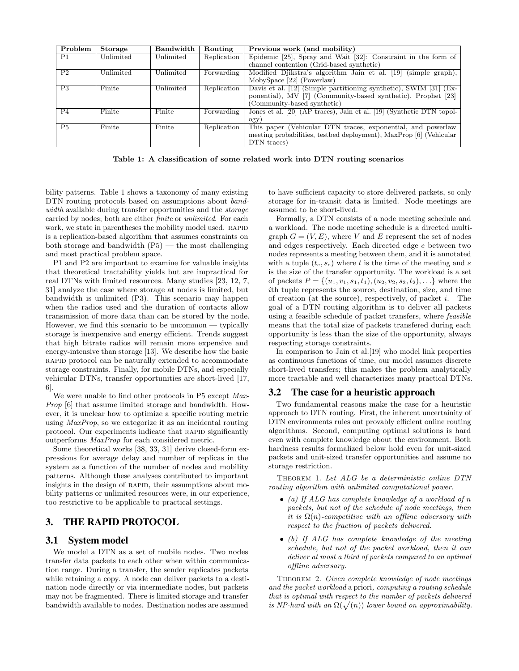| Problem        | Storage   | <b>Bandwidth</b> | Routing     | Previous work (and mobility)                                          |
|----------------|-----------|------------------|-------------|-----------------------------------------------------------------------|
| P <sub>1</sub> | Unlimited | Unlimited        | Replication | Epidemic $[25]$ , Spray and Wait $[32]$ : Constraint in the form of   |
|                |           |                  |             | channel contention (Grid-based synthetic)                             |
| P <sub>2</sub> | Unlimited | Unlimited        | Forwarding  | Modified Djikstra's algorithm Jain et al. [19] (simple graph),        |
|                |           |                  |             | MobySpace [22] (Powerlaw)                                             |
| P3             | Finite    | Unlimited        | Replication | Davis et al. [12] (Simple partitioning synthetic), SWIM [31] (Ex-     |
|                |           |                  |             | ponential), MV [7] (Community-based synthetic), Prophet [23]          |
|                |           |                  |             | (Community-based synthetic)                                           |
| <b>P4</b>      | Finite    | Finite           | Forwarding  | Jones et al. [20] (AP traces), Jain et al. [19] (Synthetic DTN topol- |
|                |           |                  |             | $\rm{ogy}$ )                                                          |
| P <sub>5</sub> | Finite    | Finite           | Replication | This paper (Vehicular DTN traces, exponential, and powerlaw           |
|                |           |                  |             | meeting probabilities, testbed deployment), MaxProp [6] (Vehicular    |
|                |           |                  |             | DTN traces)                                                           |

Table 1: A classification of some related work into DTN routing scenarios

bility patterns. Table 1 shows a taxonomy of many existing DTN routing protocols based on assumptions about *band*width available during transfer opportunities and the storage carried by nodes; both are either finite or unlimited. For each work, we state in parentheses the mobility model used. RAPID is a replication-based algorithm that assumes constraints on both storage and bandwidth  $(P5)$  — the most challenging and most practical problem space.

P1 and P2 are important to examine for valuable insights that theoretical tractability yields but are impractical for real DTNs with limited resources. Many studies [23, 12, 7, 31] analyze the case where storage at nodes is limited, but bandwidth is unlimited (P3). This scenario may happen when the radios used and the duration of contacts allow transmission of more data than can be stored by the node. However, we find this scenario to be uncommon — typically storage is inexpensive and energy efficient. Trends suggest that high bitrate radios will remain more expensive and energy-intensive than storage [13]. We describe how the basic RAPID protocol can be naturally extended to accommodate storage constraints. Finally, for mobile DTNs, and especially vehicular DTNs, transfer opportunities are short-lived [17, 6].

We were unable to find other protocols in P5 except Max-Prop [6] that assume limited storage and bandwidth. However, it is unclear how to optimize a specific routing metric using MaxProp, so we categorize it as an incidental routing protocol. Our experiments indicate that RAPID significantly outperforms MaxProp for each considered metric.

Some theoretical works [38, 33, 31] derive closed-form expressions for average delay and number of replicas in the system as a function of the number of nodes and mobility patterns. Although these analyses contributed to important insights in the design of RAPID, their assumptions about mobility patterns or unlimited resources were, in our experience, too restrictive to be applicable to practical settings.

# 3. THE RAPID PROTOCOL

# 3.1 System model

We model a DTN as a set of mobile nodes. Two nodes transfer data packets to each other when within communication range. During a transfer, the sender replicates packets while retaining a copy. A node can deliver packets to a destination node directly or via intermediate nodes, but packets may not be fragmented. There is limited storage and transfer bandwidth available to nodes. Destination nodes are assumed

to have sufficient capacity to store delivered packets, so only storage for in-transit data is limited. Node meetings are assumed to be short-lived.

Formally, a DTN consists of a node meeting schedule and a workload. The node meeting schedule is a directed multigraph  $G = (V, E)$ , where V and E represent the set of nodes and edges respectively. Each directed edge e between two nodes represents a meeting between them, and it is annotated with a tuple  $(t_e, s_e)$  where t is the time of the meeting and s is the size of the transfer opportunity. The workload is a set of packets  $P = \{(u_1, v_1, s_1, t_1), (u_2, v_2, s_2, t_2), \ldots\}$  where the ith tuple represents the source, destination, size, and time of creation (at the source), respectively, of packet  $i$ . The goal of a DTN routing algorithm is to deliver all packets using a feasible schedule of packet transfers, where feasible means that the total size of packets transfered during each opportunity is less than the size of the opportunity, always respecting storage constraints.

In comparison to Jain et al.[19] who model link properties as continuous functions of time, our model assumes discrete short-lived transfers; this makes the problem analytically more tractable and well characterizes many practical DTNs.

#### 3.2 The case for a heuristic approach

Two fundamental reasons make the case for a heuristic approach to DTN routing. First, the inherent uncertainity of DTN environments rules out provably efficient online routing algorithms. Second, computing optimal solutions is hard even with complete knowledge about the environment. Both hardness results formalized below hold even for unit-sized packets and unit-sized transfer opportunities and assume no storage restriction.

THEOREM 1. Let ALG be a deterministic online DTN routing algorithm with unlimited computational power.

- (a) If ALG has complete knowledge of a workload of n packets, but not of the schedule of node meetings, then it is  $\Omega(n)$ -competitive with an offline adversary with respect to the fraction of packets delivered.
- $\bullet$  (b) If ALG has complete knowledge of the meeting schedule, but not of the packet workload, then it can deliver at most a third of packets compared to an optimal offline adversary.

THEOREM 2. Given complete knowledge of node meetings and the packet workload a priori, computing a routing schedule that is optimal with respect to the number of packets delivered is NP-hard with an  $\Omega(\sqrt(n))$  lower bound on approximability.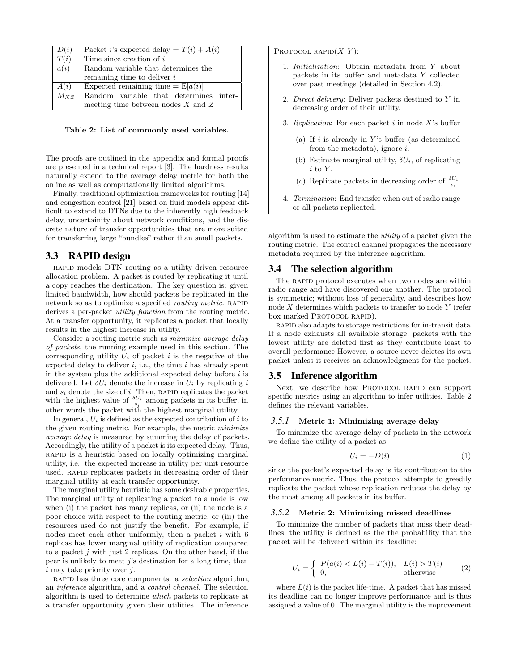| D(i)     | Packet i's expected delay = $T(i) + A(i)$ |  |  |
|----------|-------------------------------------------|--|--|
| T(i)     | Time since creation of i                  |  |  |
| a(i)     | Random variable that determines the       |  |  |
|          | remaining time to deliver $i$             |  |  |
| A(i)     | Expected remaining time $=$ $E[a(i)]$     |  |  |
| $M_{XZ}$ | Random variable that determines inter-    |  |  |
|          | meeting time between nodes $X$ and $Z$    |  |  |

Table 2: List of commonly used variables.

The proofs are outlined in the appendix and formal proofs are presented in a technical report [3]. The hardness results naturally extend to the average delay metric for both the online as well as computationally limited algorithms.

Finally, traditional optimization frameworks for routing [14] and congestion control [21] based on fluid models appear difficult to extend to DTNs due to the inherently high feedback delay, uncertainity about network conditions, and the discrete nature of transfer opportunities that are more suited for transferring large "bundles" rather than small packets.

# 3.3 RAPID design

rapid models DTN routing as a utility-driven resource allocation problem. A packet is routed by replicating it until a copy reaches the destination. The key question is: given limited bandwidth, how should packets be replicated in the network so as to optimize a specified routing metric. RAPID derives a per-packet utility function from the routing metric. At a transfer opportunity, it replicates a packet that locally results in the highest increase in utility.

Consider a routing metric such as minimize average delay of packets, the running example used in this section. The corresponding utility  $U_i$  of packet i is the negative of the expected delay to deliver  $i$ , i.e., the time  $i$  has already spent in the system plus the additional expected delay before  $i$  is delivered. Let  $\delta U_i$  denote the increase in  $U_i$  by replicating i and  $s_i$  denote the size of i. Then, RAPID replicates the packet with the highest value of  $\frac{\delta U_i}{s_i}$  among packets in its buffer, in other words the packet with the highest marginal utility.

In general,  $U_i$  is defined as the expected contribution of  $i$  to the given routing metric. For example, the metric minimize average delay is measured by summing the delay of packets. Accordingly, the utility of a packet is its expected delay. Thus, RAPID is a heuristic based on locally optimizing marginal utility, i.e., the expected increase in utility per unit resource used. RAPID replicates packets in decreasing order of their marginal utility at each transfer opportunity.

The marginal utility heuristic has some desirable properties. The marginal utility of replicating a packet to a node is low when (i) the packet has many replicas, or (ii) the node is a poor choice with respect to the routing metric, or (iii) the resources used do not justify the benefit. For example, if nodes meet each other uniformly, then a packet  $i$  with 6 replicas has lower marginal utility of replication compared to a packet  $j$  with just 2 replicas. On the other hand, if the peer is unlikely to meet  $j$ 's destination for a long time, then  $i$  may take priority over  $j$ .

RAPID has three core components: a selection algorithm, an inference algorithm, and a control channel. The selection algorithm is used to determine which packets to replicate at a transfer opportunity given their utilities. The inference

PROTOCOL RAPID $(X, Y)$ :

- 1. Initialization: Obtain metadata from Y about packets in its buffer and metadata Y collected over past meetings (detailed in Section 4.2).
- 2. Direct delivery: Deliver packets destined to  $Y$  in decreasing order of their utility.
- 3. Replication: For each packet i in node  $X$ 's buffer
	- (a) If  $i$  is already in Y's buffer (as determined from the metadata), ignore  $i$ .
	- (b) Estimate marginal utility,  $\delta U_i$ , of replicating  $i$  to  $Y$ .
	- (c) Replicate packets in decreasing order of  $\frac{\delta U_i}{s_i}$ .
- 4. Termination: End transfer when out of radio range or all packets replicated.

algorithm is used to estimate the utility of a packet given the routing metric. The control channel propagates the necessary metadata required by the inference algorithm.

#### 3.4 The selection algorithm

The RAPID protocol executes when two nodes are within radio range and have discovered one another. The protocol is symmetric; without loss of generality, and describes how node  $X$  determines which packets to transfer to node  $Y$  (refer box marked PROTOCOL RAPID).

RAPID also adapts to storage restrictions for in-transit data. If a node exhausts all available storage, packets with the lowest utility are deleted first as they contribute least to overall performance However, a source never deletes its own packet unless it receives an acknowledgment for the packet.

# 3.5 Inference algorithm

Next, we describe how PROTOCOL RAPID can support specific metrics using an algorithm to infer utilities. Table 2 defines the relevant variables.

#### *3.5.1* Metric 1: Minimizing average delay

To minimize the average delay of packets in the network we define the utility of a packet as

$$
U_i = -D(i) \tag{1}
$$

since the packet's expected delay is its contribution to the performance metric. Thus, the protocol attempts to greedily replicate the packet whose replication reduces the delay by the most among all packets in its buffer.

#### *3.5.2* Metric 2: Minimizing missed deadlines

To minimize the number of packets that miss their deadlines, the utility is defined as the the probability that the packet will be delivered within its deadline:

$$
U_i = \begin{cases} P(a(i) < L(i) - T(i)), & L(i) > T(i) \\ 0, & \text{otherwise} \end{cases} \tag{2}
$$

where  $L(i)$  is the packet life-time. A packet that has missed its deadline can no longer improve performance and is thus assigned a value of 0. The marginal utility is the improvement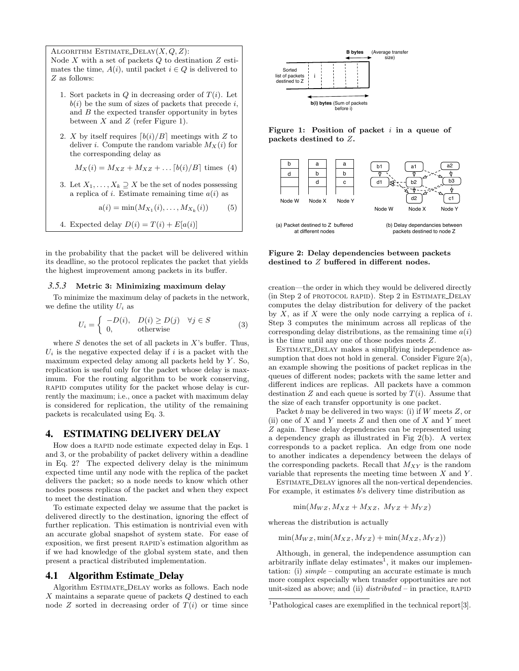ALGORITHM ESTIMATE  $D$ ELAY $(X, Q, Z)$ : Node  $X$  with a set of packets  $Q$  to destination  $Z$  estimates the time,  $A(i)$ , until packet  $i \in Q$  is delivered to Z as follows:

- 1. Sort packets in  $Q$  in decreasing order of  $T(i)$ . Let  $b(i)$  be the sum of sizes of packets that precede i, and  $B$  the expected transfer opportunity in bytes between  $X$  and  $Z$  (refer Figure 1).
- 2. X by itself requires  $[b(i)/B]$  meetings with Z to deliver *i*. Compute the random variable  $M_X(i)$  for the corresponding delay as

$$
M_X(i) = M_{XZ} + M_{XZ} + \dots \lfloor b(i)/B \rfloor
$$
 times (4)

3. Let  $X_1, \ldots, X_k \supseteq X$  be the set of nodes possessing a replica of i. Estimate remaining time  $a(i)$  as

$$
a(i) = \min(M_{X_1}(i), \dots, M_{X_k}(i))
$$
 (5)

4. Expected delay  $D(i) = T(i) + E[a(i)]$ 

in the probability that the packet will be delivered within its deadline, so the protocol replicates the packet that yields the highest improvement among packets in its buffer.

#### *3.5.3* Metric 3: Minimizing maximum delay

To minimize the maximum delay of packets in the network, we define the utility  $U_i$  as

$$
U_i = \begin{cases} -D(i), & D(i) \ge D(j) \quad \forall j \in S \\ 0, & \text{otherwise} \end{cases}
$$
 (3)

where  $S$  denotes the set of all packets in  $X$ 's buffer. Thus,  $U_i$  is the negative expected delay if  $i$  is a packet with the maximum expected delay among all packets held by  $Y$ . So, replication is useful only for the packet whose delay is maximum. For the routing algorithm to be work conserving, rapid computes utility for the packet whose delay is currently the maximum; i.e., once a packet with maximum delay is considered for replication, the utility of the remaining packets is recalculated using Eq. 3.

# 4. ESTIMATING DELIVERY DELAY

How does a RAPID node estimate expected delay in Eqs. 1 and 3, or the probability of packet delivery within a deadline in Eq. 2? The expected delivery delay is the minimum expected time until any node with the replica of the packet delivers the packet; so a node needs to know which other nodes possess replicas of the packet and when they expect to meet the destination.

To estimate expected delay we assume that the packet is delivered directly to the destination, ignoring the effect of further replication. This estimation is nontrivial even with an accurate global snapshot of system state. For ease of exposition, we first present RAPID's estimation algorithm as if we had knowledge of the global system state, and then present a practical distributed implementation.

#### 4.1 Algorithm Estimate\_Delay

Algorithm ESTIMATE\_DELAY works as follows. Each node  $X$  maintains a separate queue of packets  $Q$  destined to each node  $Z$  sorted in decreasing order of  $T(i)$  or time since



Figure 1: Position of packet  $i$  in a queue of packets destined to Z.



Figure 2: Delay dependencies between packets destined to Z buffered in different nodes.

creation—the order in which they would be delivered directly (in Step 2 of protocol rapid). Step 2 in Estimate Delay computes the delay distribution for delivery of the packet by  $X$ , as if  $X$  were the only node carrying a replica of  $i$ . Step 3 computes the minimum across all replicas of the corresponding delay distributions, as the remaining time  $a(i)$ is the time until any one of those nodes meets Z.

ESTIMATE\_DELAY makes a simplifying independence assumption that does not hold in general. Consider Figure 2(a), an example showing the positions of packet replicas in the queues of different nodes; packets with the same letter and different indices are replicas. All packets have a common destination Z and each queue is sorted by  $T(i)$ . Assume that the size of each transfer opportunity is one packet.

Packet b may be delivered in two ways: (i) if W meets  $Z$ , or (ii) one of  $X$  and  $Y$  meets  $Z$  and then one of  $X$  and  $Y$  meet Z again. These delay dependencies can be represented using a dependency graph as illustrated in Fig 2(b). A vertex corresponds to a packet replica. An edge from one node to another indicates a dependency between the delays of the corresponding packets. Recall that  $M_{XY}$  is the random variable that represents the meeting time between  $X$  and  $Y$ .

ESTIMATE\_DELAY ignores all the non-vertical dependencies. For example, it estimates b's delivery time distribution as

$$
\min(M_{WZ}, M_{XZ} + M_{XZ}, M_{YZ} + M_{YZ})
$$

whereas the distribution is actually

 $min(M_{WZ}, min(M_{XZ}, M_{YZ}) + min(M_{XZ}, M_{YZ}))$ 

Although, in general, the independence assumption can arbitrarily inflate delay estimates<sup>1</sup>, it makes our implementation: (i) simple – computing an accurate estimate is much more complex especially when transfer opportunities are not unit-sized as above; and (ii)  $distributed -$  in practice, RAPID

<sup>1</sup>Pathological cases are exemplified in the technical report[3].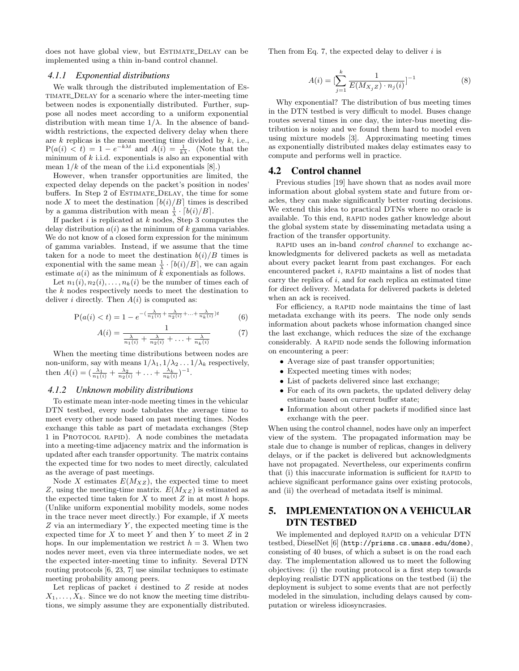does not have global view, but ESTIMATE\_DELAY can be implemented using a thin in-band control channel.

#### *4.1.1 Exponential distributions*

We walk through the distributed implementation of Estimate Delay for a scenario where the inter-meeting time between nodes is exponentially distributed. Further, suppose all nodes meet according to a uniform exponential distribution with mean time  $1/\lambda$ . In the absence of bandwidth restrictions, the expected delivery delay when there are  $k$  replicas is the mean meeting time divided by  $k$ , i.e.,  $P(a(i) < t) = 1 - e^{-k\lambda t}$  and  $A(i) = \frac{1}{k\lambda}$ . (Note that the minimum of  $k$  i.i.d. exponentials is also an exponential with mean  $1/k$  of the mean of the i.i.d exponentials  $[8]$ .)

However, when transfer opportunities are limited, the expected delay depends on the packet's position in nodes' buffers. In Step 2 of ESTIMATE\_DELAY, the time for some node X to meet the destination  $\lceil b(i)/B \rceil$  times is described by a gamma distribution with mean  $\frac{1}{\lambda} \cdot [b(i)/B]$ .

If packet i is replicated at  $k$  nodes, Step 3 computes the delay distribution  $a(i)$  as the minimum of k gamma variables. We do not know of a closed form expression for the minimum of gamma variables. Instead, if we assume that the time taken for a node to meet the destination  $b(i)/B$  times is exponential with the same mean  $\frac{1}{\lambda} \cdot [b(i)/B]$ , we can again estimate  $a(i)$  as the minimum of  $\hat{k}$  exponentials as follows.

Let  $n_1(i), n_2(i), \ldots, n_k(i)$  be the number of times each of the k nodes respectively needs to meet the destination to deliver i directly. Then  $A(i)$  is computed as:

$$
P(a(i) < t) = 1 - e^{-\left(\frac{\lambda}{n_1(i)} + \frac{\lambda}{n_2(i)} + \dots + \frac{\lambda}{n_k(i)}\right)t}
$$
(6)

$$
A(i) = \frac{1}{\frac{\lambda}{n_1(i)} + \frac{\lambda}{n_2(i)} + \ldots + \frac{\lambda}{n_k(i)}}\tag{7}
$$

When the meeting time distributions between nodes are non-uniform, say with means  $1/\lambda_1, 1/\lambda_2 \ldots 1/\lambda_k$  respectively, then  $A(i) = \left(\frac{\lambda_1}{n_1(i)} + \frac{\lambda_2}{n_2(i)} + \ldots + \frac{\lambda_k}{n_k(i)}\right)^{-1}$ .

#### *4.1.2 Unknown mobility distributions*

To estimate mean inter-node meeting times in the vehicular DTN testbed, every node tabulates the average time to meet every other node based on past meeting times. Nodes exchange this table as part of metadata exchanges (Step 1 in PROTOCOL RAPID). A node combines the metadata into a meeting-time adjacency matrix and the information is updated after each transfer opportunity. The matrix contains the expected time for two nodes to meet directly, calculated as the average of past meetings.

Node X estimates  $E(M_{XZ})$ , the expected time to meet Z, using the meeting-time matrix.  $E(M_{XZ})$  is estimated as the expected time taken for  $X$  to meet  $Z$  in at most  $h$  hops. (Unlike uniform exponential mobility models, some nodes in the trace never meet directly.) For example, if  $X$  meets  $Z$  via an intermediary  $Y$ , the expected meeting time is the expected time for  $X$  to meet  $Y$  and then  $Y$  to meet  $Z$  in  $2$ hops. In our implementation we restrict  $h = 3$ . When two nodes never meet, even via three intermediate nodes, we set the expected inter-meeting time to infinity. Several DTN routing protocols [6, 23, 7] use similar techniques to estimate meeting probability among peers.

Let replicas of packet  $i$  destined to  $Z$  reside at nodes  $X_1, \ldots, X_k$ . Since we do not know the meeting time distributions, we simply assume they are exponentially distributed. Then from Eq. 7, the expected delay to deliver  $i$  is

$$
A(i) = \left[\sum_{j=1}^{k} \frac{1}{E(M_{X_j Z}) \cdot n_j(i)}\right]^{-1}
$$
\n(8)

Why exponential? The distribution of bus meeting times in the DTN testbed is very difficult to model. Buses change routes several times in one day, the inter-bus meeting distribution is noisy and we found them hard to model even using mixture models [3]. Approximating meeting times as exponentially distributed makes delay estimates easy to compute and performs well in practice.

#### 4.2 Control channel

Previous studies [19] have shown that as nodes avail more information about global system state and future from oracles, they can make significantly better routing decisions. We extend this idea to practical DTNs where no oracle is available. To this end, RAPID nodes gather knowledge about the global system state by disseminating metadata using a fraction of the transfer opportunity.

RAPID uses an in-band *control channel* to exchange acknowledgments for delivered packets as well as metadata about every packet learnt from past exchanges. For each encountered packet  $i$ , RAPID maintains a list of nodes that carry the replica of  $i$ , and for each replica an estimated time for direct delivery. Metadata for delivered packets is deleted when an ack is received.

For efficiency, a RAPID node maintains the time of last metadata exchange with its peers. The node only sends information about packets whose information changed since the last exchange, which reduces the size of the exchange considerably. A RAPID node sends the following information on encountering a peer:

- Average size of past transfer opportunities;
- Expected meeting times with nodes;
- List of packets delivered since last exchange;
- For each of its own packets, the updated delivery delay estimate based on current buffer state;
- Information about other packets if modified since last exchange with the peer.

When using the control channel, nodes have only an imperfect view of the system. The propagated information may be stale due to change is number of replicas, changes in delivery delays, or if the packet is delivered but acknowledgments have not propagated. Nevertheless, our experiments confirm that (i) this inaccurate information is sufficient for RAPID to achieve significant performance gains over existing protocols, and (ii) the overhead of metadata itself is minimal.

# 5. IMPLEMENTATION ON A VEHICULAR DTN TESTBED

We implemented and deployed RAPID on a vehicular DTN testbed, DieselNet [6] (http://prisms.cs.umass.edu/dome), consisting of 40 buses, of which a subset is on the road each day. The implementation allowed us to meet the following objectives: (i) the routing protocol is a first step towards deploying realistic DTN applications on the testbed (ii) the deployment is subject to some events that are not perfectly modeled in the simulation, including delays caused by computation or wireless idiosyncrasies.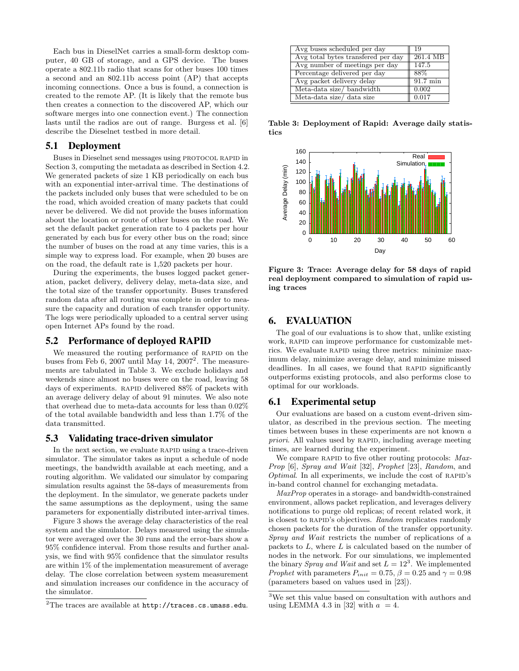Each bus in DieselNet carries a small-form desktop computer, 40 GB of storage, and a GPS device. The buses operate a 802.11b radio that scans for other buses 100 times a second and an 802.11b access point (AP) that accepts incoming connections. Once a bus is found, a connection is created to the remote AP. (It is likely that the remote bus then creates a connection to the discovered AP, which our software merges into one connection event.) The connection lasts until the radios are out of range. Burgess et al. [6] describe the Dieselnet testbed in more detail.

### 5.1 Deployment

Buses in Dieselnet send messages using PROTOCOL RAPID in Section 3, computing the metadata as described in Section 4.2. We generated packets of size 1 KB periodically on each bus with an exponential inter-arrival time. The destinations of the packets included only buses that were scheduled to be on the road, which avoided creation of many packets that could never be delivered. We did not provide the buses information about the location or route of other buses on the road. We set the default packet generation rate to 4 packets per hour generated by each bus for every other bus on the road; since the number of buses on the road at any time varies, this is a simple way to express load. For example, when 20 buses are on the road, the default rate is 1,520 packets per hour.

During the experiments, the buses logged packet generation, packet delivery, delivery delay, meta-data size, and the total size of the transfer opportunity. Buses transfered random data after all routing was complete in order to measure the capacity and duration of each transfer opportunity. The logs were periodically uploaded to a central server using open Internet APs found by the road.

#### 5.2 Performance of deployed RAPID

We measured the routing performance of RAPID on the buses from Feb 6, 2007 until May 14, 2007<sup>2</sup>. The measurements are tabulated in Table 3. We exclude holidays and weekends since almost no buses were on the road, leaving 58 days of experiments. RAPID delivered 88% of packets with an average delivery delay of about 91 minutes. We also note that overhead due to meta-data accounts for less than 0.02% of the total available bandwidth and less than 1.7% of the data transmitted.

#### 5.3 Validating trace-driven simulator

In the next section, we evaluate RAPID using a trace-driven simulator. The simulator takes as input a schedule of node meetings, the bandwidth available at each meeting, and a routing algorithm. We validated our simulator by comparing simulation results against the 58-days of measurements from the deployment. In the simulator, we generate packets under the same assumptions as the deployment, using the same parameters for exponentially distributed inter-arrival times.

Figure 3 shows the average delay characteristics of the real system and the simulator. Delays measured using the simulator were averaged over the 30 runs and the error-bars show a 95% confidence interval. From those results and further analysis, we find with 95% confidence that the simulator results are within 1% of the implementation measurement of average delay. The close correlation between system measurement and simulation increases our confidence in the accuracy of the simulator.

| Avg buses scheduled per day        | 19                 |
|------------------------------------|--------------------|
| Avg total bytes transfered per day | 261.4 MB           |
| Avg number of meetings per day     | 147.5              |
| Percentage delivered per day       | 88%                |
| Avg packet delivery delay          | $91.7 \text{ min}$ |
| Meta-data size/bandwidth           | 0.002              |
| Meta-data size/ data size          | 0.017              |

Table 3: Deployment of Rapid: Average daily statistics



Figure 3: Trace: Average delay for 58 days of rapid real deployment compared to simulation of rapid using traces

# 6. EVALUATION

The goal of our evaluations is to show that, unlike existing work, RAPID can improve performance for customizable metrics. We evaluate RAPID using three metrics: minimize maximum delay, minimize average delay, and minimize missed deadlines. In all cases, we found that RAPID significantly outperforms existing protocols, and also performs close to optimal for our workloads.

#### 6.1 Experimental setup

Our evaluations are based on a custom event-driven simulator, as described in the previous section. The meeting times between buses in these experiments are not known a priori. All values used by RAPID, including average meeting times, are learned during the experiment.

We compare RAPID to five other routing protocols: Max-Prop [6], Spray and Wait [32], Prophet [23], Random, and  $Optimal$ . In all experiments, we include the cost of RAPID's in-band control channel for exchanging metadata.

MaxProp operates in a storage- and bandwidth-constrained environment, allows packet replication, and leverages delivery notifications to purge old replicas; of recent related work, it is closest to RAPID's objectives. Random replicates randomly chosen packets for the duration of the transfer opportunity. Spray and Wait restricts the number of replications of a packets to  $L$ , where  $L$  is calculated based on the number of nodes in the network. For our simulations, we implemented the binary Spray and Wait and set  $L = 12<sup>3</sup>$ . We implemented Prophet with parameters  $P_{init} = 0.75$ ,  $\beta = 0.25$  and  $\gamma = 0.98$ (parameters based on values used in [23]).

 $^{2}$ The traces are available at  ${\tt http://traces.cs.umass.edu.}$ 

 ${}^{3}\mathrm{We}$  set this value based on consultation with authors and using LEMMA 4.3 in [32] with  $a = 4$ .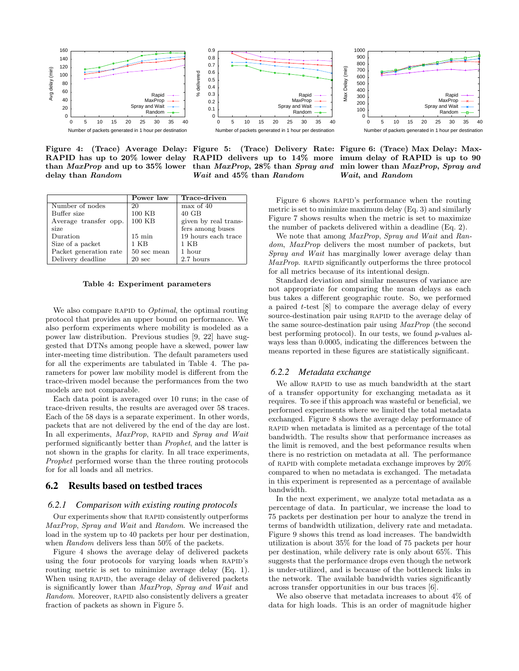

Figure 4: (Trace) Average Delay: Figure 5: (Trace) Delivery Rate: Figure 6: (Trace) Max Delay: Maxthan MaxProp and up to 35% lower delay than Random

RAPID has up to 20% lower delay RAPID delivers up to 14% more than  $MaxProp$ , 28% than  $Spray$  and min lower than  $MaxProp$ , Spray and Wait and 45% than Random

imum delay of RAPID is up to 90 Wait, and Random

|                        | Power law         | Trace-driven         |
|------------------------|-------------------|----------------------|
| Number of nodes        | 20                | max of 40            |
| Buffer size            | 100 KB            | $40$ GB              |
| Average transfer opp.  | 100 KB            | given by real trans- |
| size                   |                   | fers among buses     |
| Duration               | $15 \text{ min}$  | 19 hours each trace  |
| Size of a packet       | 1 KB              | 1 KB                 |
| Packet generation rate | $50$ sec mean     | 1 hour               |
| Delivery deadline      | 20 <sub>sec</sub> | 2.7 hours            |

Table 4: Experiment parameters

We also compare RAPID to *Optimal*, the optimal routing protocol that provides an upper bound on performance. We also perform experiments where mobility is modeled as a power law distribution. Previous studies [9, 22] have suggested that DTNs among people have a skewed, power law inter-meeting time distribution. The default parameters used for all the experiments are tabulated in Table 4. The parameters for power law mobility model is different from the trace-driven model because the performances from the two models are not comparable.

Each data point is averaged over 10 runs; in the case of trace-driven results, the results are averaged over 58 traces. Each of the 58 days is a separate experiment. In other words, packets that are not delivered by the end of the day are lost. In all experiments, MaxProp, RAPID and Spray and Wait performed significantly better than Prophet, and the latter is not shown in the graphs for clarity. In all trace experiments, Prophet performed worse than the three routing protocols for for all loads and all metrics.

# 6.2 Results based on testbed traces

#### *6.2.1 Comparison with existing routing protocols*

Our experiments show that RAPID consistently outperforms MaxProp, Spray and Wait and Random. We increased the load in the system up to 40 packets per hour per destination, when Random delivers less than 50% of the packets.

Figure 4 shows the average delay of delivered packets using the four protocols for varying loads when RAPID's routing metric is set to minimize average delay (Eq. 1). When using RAPID, the average delay of delivered packets is significantly lower than MaxProp, Spray and Wait and Random. Moreover, RAPID also consistently delivers a greater fraction of packets as shown in Figure 5.

Figure 6 shows RAPID's performance when the routing metric is set to minimize maximum delay (Eq. 3) and similarly Figure 7 shows results when the metric is set to maximize the number of packets delivered within a deadline (Eq. 2).

We note that among *MaxProp*, *Spray and Wait* and Random, MaxProp delivers the most number of packets, but Spray and Wait has marginally lower average delay than  $MaxProp$ . RAPID significantly outperforms the three protocol for all metrics because of its intentional design.

Standard deviation and similar measures of variance are not appropriate for comparing the mean delays as each bus takes a different geographic route. So, we performed a paired t-test [8] to compare the average delay of every source-destination pair using RAPID to the average delay of the same source-destination pair using MaxProp (the second best performing protocol). In our tests, we found  $p$ -values always less than 0.0005, indicating the differences between the means reported in these figures are statistically significant.

#### *6.2.2 Metadata exchange*

We allow RAPID to use as much bandwidth at the start of a transfer opportunity for exchanging metadata as it requires. To see if this approach was wasteful or beneficial, we performed experiments where we limited the total metadata exchanged. Figure 8 shows the average delay performance of rapid when metadata is limited as a percentage of the total bandwidth. The results show that performance increases as the limit is removed, and the best peformance results when there is no restriction on metadata at all. The performance of RAPID with complete metadata exchange improves by  $20\%$ compared to when no metadata is exchanged. The metadata in this experiment is represented as a percentage of available bandwidth.

In the next experiment, we analyze total metadata as a percentage of data. In particular, we increase the load to 75 packets per destination per hour to analyze the trend in terms of bandwidth utilization, delivery rate and metadata. Figure 9 shows this trend as load increases. The bandwidth utilization is about 35% for the load of 75 packets per hour per destination, while delivery rate is only about 65%. This suggests that the performance drops even though the network is under-utilized, and is because of the bottleneck links in the network. The available bandwidth varies significantly across transfer opportunities in our bus traces [6].

We also observe that metadata increases to about 4% of data for high loads. This is an order of magnitude higher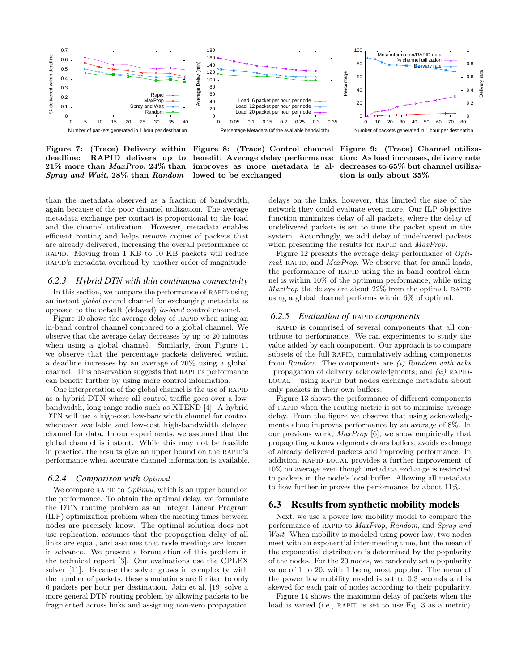

Figure 7: (Trace) Delivery within Figure 8: (Trace) Control channel deadline: RAPID delivers up to 21% more than MaxProp, 24% than Spray and Wait, 28% than Random

benefit: Average delay performance improves as more metadata is allowed to be exchanged

Figure 9: (Trace) Channel utilization: As load increases, delivery rate decreases to 65% but channel utilization is only about 35%

than the metadata observed as a fraction of bandwidth, again because of the poor channel utilization. The average metadata exchange per contact is proportional to the load and the channel utilization. However, metadata enables efficient routing and helps remove copies of packets that are already delivered, increasing the overall performance of RAPID. Moving from 1 KB to 10 KB packets will reduce rapid's metadata overhead by another order of magnitude.

#### *6.2.3 Hybrid DTN with thin continuous connectivity*

In this section, we compare the performance of RAPID using an instant global control channel for exchanging metadata as opposed to the default (delayed) in-band control channel.

Figure 10 shows the average delay of RAPID when using an in-band control channel compared to a global channel. We observe that the average delay decreases by up to 20 minutes when using a global channel. Similarly, from Figure 11 we observe that the percentage packets delivered within a deadline increases by an average of 20% using a global channel. This observation suggests that RAPID's performance can benefit further by using more control information.

One interpretation of the global channel is the use of RAPID as a hybrid DTN where all control traffic goes over a lowbandwidth, long-range radio such as XTEND [4]. A hybrid DTN will use a high-cost low-bandwidth channel for control whenever available and low-cost high-bandwidth delayed channel for data. In our experiments, we assumed that the global channel is instant. While this may not be feasible in practice, the results give an upper bound on the RAPID's performance when accurate channel information is available.

#### *6.2.4 Comparison with* Optimal

We compare RAPID to  $Optimal$ , which is an upper bound on the performance. To obtain the optimal delay, we formulate the DTN routing problem as an Integer Linear Program (ILP) optimization problem when the meeting times between nodes are precisely know. The optimal solution does not use replication, assumes that the propagation delay of all links are equal, and assumes that node meetings are known in advance. We present a formulation of this problem in the technical report [3]. Our evaluations use the CPLEX solver [11]. Because the solver grows in complexity with the number of packets, these simulations are limited to only 6 packets per hour per destination. Jain et al. [19] solve a more general DTN routing problem by allowing packets to be fragmented across links and assigning non-zero propagation delays on the links, however, this limited the size of the network they could evaluate even more. Our ILP objective function minimizes delay of all packets, where the delay of undelivered packets is set to time the packet spent in the system. Accordingly, we add delay of undelivered packets when presenting the results for RAPID and *MaxProp*.

Figure 12 presents the average delay performance of Opti $mal,$  RAPID, and  $MaxProp$ . We observe that for small loads, the performance of RAPID using the in-band control channel is within 10% of the optimum performance, while using  $MaxProp$  the delays are about  $22\%$  from the optimal. RAPID using a global channel performs within 6% of optimal.

#### *6.2.5 Evaluation of* rapid *components*

RAPID is comprised of several components that all contribute to performance. We ran experiments to study the value added by each component. Our approach is to compare subsets of the full RAPID, cumulatively adding components from Random. The components are (i) Random with acks – propagation of delivery acknowledgments; and  $(ii)$  RAPIDlocal – using rapid but nodes exchange metadata about only packets in their own buffers.

Figure 13 shows the performance of different components of RAPID when the routing metric is set to minimize average delay. From the figure we observe that using acknowledgments alone improves performance by an average of 8%. In our previous work, MaxProp [6], we show empirically that propagating acknowledgments clears buffers, avoids exchange of already delivered packets and improving performance. In addition, RAPID-LOCAL provides a further improvement of 10% on average even though metadata exchange is restricted to packets in the node's local buffer. Allowing all metadata to flow further improves the performance by about 11%.

#### 6.3 Results from synthetic mobility models

Next, we use a power law mobility model to compare the performance of RAPID to *MaxProp*, Random, and Spray and Wait. When mobility is modeled using power law, two nodes meet with an exponential inter-meeting time, but the mean of the exponential distribution is determined by the popularity of the nodes. For the 20 nodes, we randomly set a popularity value of 1 to 20, with 1 being most popular. The mean of the power law mobility model is set to 0.3 seconds and is skewed for each pair of nodes according to their popularity.

Figure 14 shows the maximum delay of packets when the load is varied (i.e., RAPID is set to use Eq. 3 as a metric).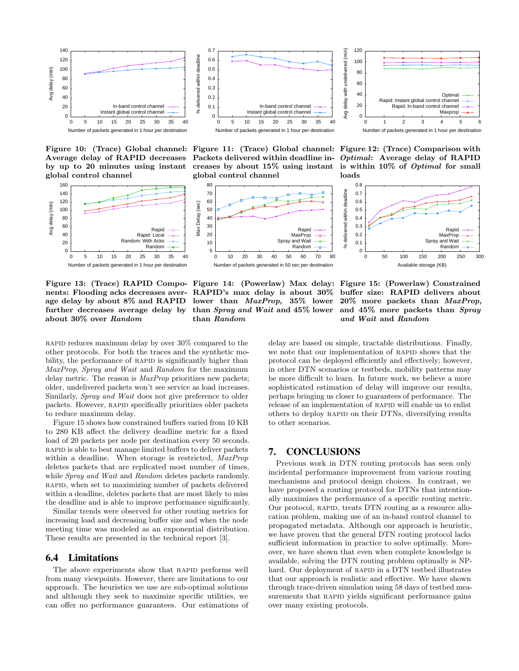

Figure 10: (Trace) Global channel: Figure 11: (Trace) Global channel: Figure 12: (Trace) Comparison with Average delay of RAPID decreases by up to 20 minutes using instant global control channel



nents: Flooding acks decreases average delay by about 8% and RAPID further decreases average delay by about 30% over Random



Packets delivered within deadline in- Optimal: Average delay of RAPID creases by about  $15\%$  using instant is within  $10\%$  of Optimal for small global control channel



loads  $\overline{0.7}$  $0.8$ 

0

Rapid: Instant global control channel

Number of packets generated in 1

 $60<sup>1</sup>$  $80 \div$  $100 \frac{1}{100}$  $120$ 

20 **Rapid:** In-band control channel - $40 \downarrow$  Optimal  $\rightarrow$ 

Maxprop

 $\begin{array}{r|l}\n\hline\n\text{2} & 120 \\
\hline\n\text{3} & 100 \\
\hline\n\text{4} & 100 \\
\hline\n\text{5} & 100 \\
\hline\n\text{6} & 100 \\
\hline\n\text{6} & 100 \\
\hline\n\text{7} & 100 \\
\hline\n\text{8} & 100 \\
\hline\n\text{8} & 100 \\
\hline\n\text{8} & 100 \\
\hline\n\text{8} & 100 \\
\hline\n\text{8} & 100 \\
\hline\n\text$ 



RAPID's max delay is about 30% lower than MaxProp, 35% lower than Spray and Wait and 45% lower than Random

Figure 13: (Trace) RAPID Compo-Figure 14: (Powerlaw) Max delay: Figure 15: (Powerlaw) Constrained buffer size: RAPID delivers about 20% more packets than MaxProp, and 45% more packets than Spray and Wait and Random

rapid reduces maximum delay by over 30% compared to the other protocols. For both the traces and the synthetic mobility, the performance of RAPID is significantly higher than MaxProp, Spray and Wait and Random for the maximum delay metric. The reason is  $MaxProp$  prioritizes new packets; older, undelivered packets won't see service as load increases. Similarly, Spray and Wait does not give preference to older packets. However, RAPID specifically prioritizes older packets to reduce maximum delay.

Figure 15 shows how constrained buffers varied from 10 KB to 280 KB affect the delivery deadline metric for a fixed load of 20 packets per node per destination every 50 seconds. rapid is able to best manage limited buffers to deliver packets within a deadline. When storage is restricted,  $MaxProp$ deletes packets that are replicated most number of times, while Spray and Wait and Random deletes packets randomly. rapid, when set to maximizing number of packets delivered within a deadline, deletes packets that are most likely to miss the deadline and is able to improve performance significantly.

Similar trends were observed for other routing metrics for increasing load and decreasing buffer size and when the node meeting time was modeled as an exponential distribution. These results are presented in the technical report [3].

### 6.4 Limitations

The above experiments show that RAPID performs well from many viewpoints. However, there are limitations to our approach. The heuristics we use are sub-optimal solutions and although they seek to maximize specific utilities, we can offer no performance guarantees. Our estimations of delay are based on simple, tractable distributions. Finally, we note that our implementation of RAPID shows that the protocol can be deployed efficiently and effectively; however, in other DTN scenarios or testbeds, mobility patterns may be more difficult to learn. In future work, we believe a more sophisticated estimation of delay will improve our results, perhaps bringing us closer to guarantees of performance. The release of an implementation of RAPID will enable us to enlist others to deploy rapid on their DTNs, diversifying results to other scenarios.

# 7. CONCLUSIONS

Previous work in DTN routing protocols has seen only incidental performance improvement from various routing mechanisms and protocol design choices. In contrast, we have proposed a routing protocol for DTNs that intentionally maximizes the performance of a specific routing metric. Our protocol, RAPID, treats DTN routing as a resource allocation problem, making use of an in-band control channel to propagated metadata. Although our approach is heuristic, we have proven that the general DTN routing protocol lacks sufficient information in practice to solve optimally. Moreover, we have shown that even when complete knowledge is available, solving the DTN routing problem optimally is NPhard. Our deployment of RAPID in a DTN testbed illustrates that our approach is realistic and effective. We have shown through trace-driven simulation using 58 days of testbed measurements that RAPID yields significant performance gains over many existing protocols.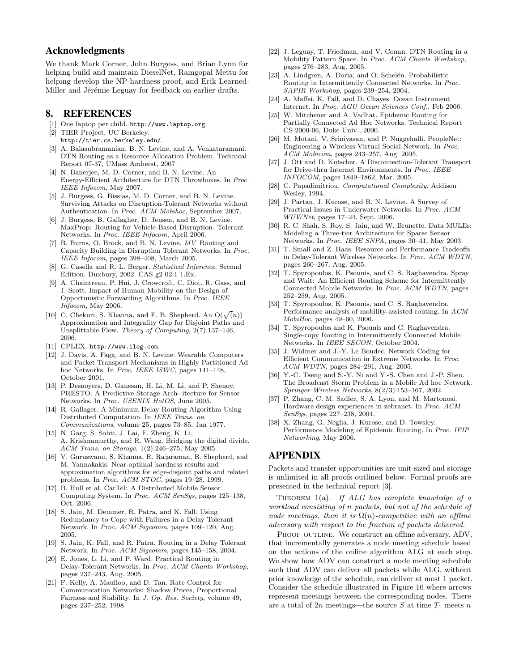# Acknowledgments

We thank Mark Corner, John Burgess, and Brian Lynn for helping build and maintain DieselNet, Ramgopal Mettu for helping develop the NP-hardness proof, and Erik Learned-Miller and Jérémie Leguay for feedback on earlier drafts.

## 8. REFERENCES

- [1] One laptop per child. http://www.laptop.org.
- [2] TIER Project, UC Berkeley. http://tier.cs.berkeley.edu/.
- [3] A. Balasubramanian, B. N. Levine, and A. Venkataramani. DTN Routing as a Resource Allocation Problem. Technical Report 07-37, UMass Amherst, 2007.
- [4] N. Banerjee, M. D. Corner, and B. N. Levine. An Energy-Efficient Architecture for DTN Throwboxes. In Proc. IEEE Infocom, May 2007.
- J. Burgess, G. Bissias, M. D. Corner, and B. N. Levine. Surviving Attacks on Disruption-Tolerant Networks without Authentication. In Proc. ACM Mobihoc, September 2007.
- [6] J. Burgess, B. Gallagher, D. Jensen, and B. N. Levine. MaxProp: Routing for Vehicle-Based Disruption- Tolerant Networks. In Proc. IEEE Infocom, April 2006.
- [7] B. Burns, O. Brock, and B. N. Levine.  $MV$  Routing and Capacity Building in Disruption Tolerant Networks. In Proc. IEEE Infocom, pages 398–408, March 2005.
- [8] G. Casella and R. L. Berger. Statistical Inference. Second Edition. Duxbury, 2002. CAS g2 02:1 1.Ex.
- [9] A. Chaintreau, P. Hui, J. Crowcroft, C. Diot, R. Gass, and J. Scott. Impact of Human Mobility on the Design of Opportunistic Forwarding Algorithms. In Proc. IEEE Infocom, May 2006.
- [10] C. Chekuri, S. Khanna, and F. B. Shepherd. An  $O(\sqrt(n))$ Approximation and Integrality Gap for Disjoint Paths and Unsplittable Flow. Theory of Computing, 2(7):137–146, 2006.
- [11] CPLEX. http://www.ilog.com.
- [12] J. Davis, A. Fagg, and B. N. Levine. Wearable Computers and Packet Transport Mechanisms in Highly Partitioned Ad hoc Networks. In Proc. IEEE ISWC, pages 141–148, October 2001.
- [13] P. Desnoyers, D. Ganesan, H. Li, M. Li, and P. Shenoy. PRESTO: A Predictive Storage Arch- itecture for Sensor Networks. In Proc. USENIX HotOS, June 2005.
- [14] R. Gallager. A Minimum Delay Routing Algorithm Using Distributed Computation. In IEEE Trans. on Communications, volume 25, pages 73–85, Jan 1977.
- [15] N. Garg, S. Sobti, J. Lai, F. Zheng, K. Li, A. Krishnamurthy, and R. Wang. Bridging the digital divide. ACM Trans. on Storage, 1(2):246–275, May 2005.
- [16] V. Guruswami, S. Khanna, R. Rajaraman, B. Shepherd, and M. Yannakakis. Near-optimal hardness results and approximation algorithms for edge-disjoint paths and related problems. In Proc. ACM STOC, pages 19–28, 1999.
- [17] B. Hull et al. CarTel: A Distributed Mobile Sensor Computing System. In Proc. ACM SenSys, pages 125–138, Oct. 2006.
- [18] S. Jain, M. Demmer, R. Patra, and K. Fall. Using Redundancy to Cope with Failures in a Delay Tolerant Network. In Proc. ACM Sigcomm, pages 109–120, Aug. 2005.
- [19] S. Jain, K. Fall, and R. Patra. Routing in a Delay Tolerant Network. In Proc. ACM Sigcomm, pages 145–158, 2004.
- E. Jones, L. Li, and P. Ward. Practical Routing in Delay-Tolerant Networks. In Proc. ACM Chants Workshop, pages 237–243, Aug. 2005.
- [21] F. Kelly, A. Maulloo, and D. Tan. Rate Control for Communication Networks: Shadow Prices, Proportional Fairness and Stability. In J. Op. Res. Society, volume 49, pages 237–252, 1998.
- [22] J. Leguay, T. Friedman, and V. Conan. DTN Routing in a Mobility Pattern Space. In Proc. ACM Chants Workshop, pages 276–283, Aug. 2005.
- [23] A. Lindgren, A. Doria, and O. Schelén. Probabilistic Routing in Intermittently Connected Networks. In Proc. SAPIR Workshop, pages 239–254, 2004.
- [24] A. Maffei, K. Fall, and D. Chayes. Ocean Instrument Internet. In Proc. AGU Ocean Sciences Conf., Feb 2006.
- [25] W. Mitchener and A. Vadhat. Epidemic Routing for Partially Connected Ad Hoc Networks. Technical Report CS-2000-06, Duke Univ., 2000.
- [26] M. Motani, V. Srinivasan, and P. Nuggehalli. PeopleNet: Engineering a Wireless Virtual Social Network. In Proc. ACM Mobicom, pages 243–257, Aug. 2005.
- [27] J. Ott and D. Kutscher. A Disconnection-Tolerant Transport for Drive-thru Internet Environments. In Proc. IEEE INFOCOM, pages 1849–1862, Mar. 2005.
- [28] C. Papadimitriou. Computational Complexity. Addison Wesley, 1994.
- [29] J. Partan, J. Kurose, and B. N. Levine. A Survey of Practical Issues in Underwater Networks. In Proc. ACM WUWNet, pages 17–24, Sept. 2006.
- [30] R. C. Shah, S. Roy, S. Jain, and W. Brunette. Data MULEs: Modeling a Three-tier Architecture for Sparse Sensor Networks. In Proc. IEEE SNPA, pages 30–41, May 2003.
- [31] T. Small and Z. Haas. Resource and Performance Tradeoffs in Delay-Tolerant Wireless Networks. In Proc. ACM WDTN, pages 260–267, Aug. 2005.
- [32] T. Spyropoulos, K. Psounis, and C. S. Raghavendra. Spray and Wait: An Efficient Routing Scheme for Intermittently Connected Mobile Networks. In Proc. ACM WDTN, pages 252–259, Aug. 2005.
- [33] T. Spyropoulos, K. Psounis, and C. S. Raghavendra. Performance analysis of mobility-assisted routing. In ACM MobiHoc, pages 49–60, 2006.
- [34] T. Spyropoulos and K. Psounis and C. Raghavendra. Single-copy Routing in Intermittently Connected Mobile Networks. In *IEEE SECON*, October 2004.
- [35] J. Widmer and J.-Y. Le Boudec. Network Coding for Efficient Communication in Extreme Networks. In Proc. ACM WDTN, pages 284–291, Aug. 2005.
- [36] Y.-C. Tseng and S.-Y. Ni and Y.-S. Chen and J.-P. Sheu. The Broadcast Storm Problem in a Mobile Ad hoc Network. Springer Wireless Networks, 8(2/3):153–167, 2002.
- [37] P. Zhang, C. M. Sadler, S. A. Lyon, and M. Martonosi. Hardware design experiences in zebranet. In Proc. ACM SenSys, pages 227–238, 2004.
- [38] X. Zhang, G. Neglia, J. Kurose, and D. Towsley. Performance Modeling of Epidemic Routing. In Proc. IFIP Networking, May 2006.

# APPENDIX

Packets and transfer opportunities are unit-sized and storage is unlimited in all proofs outlined below. Formal proofs are presented in the technical report [3].

THEOREM  $1(a)$ . If ALG has complete knowledge of a workload consisting of n packets, but not of the schedule of node meetings, then it is  $\Omega(n)$ -competitive with an offline adversary with respect to the fraction of packets delivered.

PROOF OUTLINE. We construct an offline adversary, ADV, that incrementally generates a node meeting schedule based on the actions of the online algorithm ALG at each step. We show how ADV can construct a node meeting schedule such that ADV can deliver all packets while ALG, without prior knowledge of the schedule, can deliver at most 1 packet. Consider the schedule illustrated in Figure 16 where arrows represent meetings between the corresponding nodes. There are a total of 2n meetings—the source  $S$  at time  $T_1$  meets n